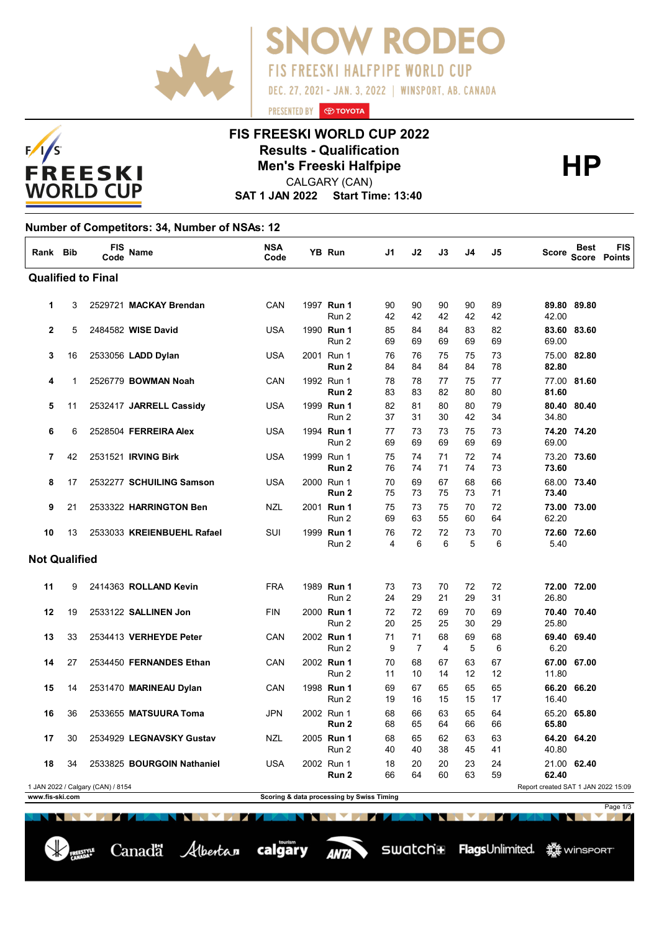



#### **FIS FREESKI WORLD CUP 2022 Results - Qualification<br>
Men's Freeski Halfpipe<br>
CALGARY (CAN)**

PRESENTED BY **O TOYOTA** 

**OW RODEC** 

**FIS FREESKI HALFPIPE WORLD CUP** 

DEC. 27, 2021 - JAN. 3, 2022 | WINSPORT, AB. CANADA

CALGARY (CAN)

**SAT 1 JAN 2022 Start Time: 13:40**

#### **Number of Competitors: 34, Number of NSAs: 12**

Canadä Albertan calgary

| Rank Bib             |          | FIS<br>Code                       | <b>Name</b>                                            | <b>NSA</b><br>Code | YB Run                                    | J1             | J2                   | J3             | J4             | J5                              | Score                               | Best                       | <b>FIS</b><br>Score Points |
|----------------------|----------|-----------------------------------|--------------------------------------------------------|--------------------|-------------------------------------------|----------------|----------------------|----------------|----------------|---------------------------------|-------------------------------------|----------------------------|----------------------------|
|                      |          | <b>Qualified to Final</b>         |                                                        |                    |                                           |                |                      |                |                |                                 |                                     |                            |                            |
| 1                    | 3        |                                   | 2529721 MACKAY Brendan                                 | CAN                | 1997 Run 1<br>Run 2                       | 90<br>42       | 90<br>42             | 90<br>42       | 90<br>42       | 89<br>42                        | 42.00                               | 89.80 89.80                |                            |
| $\mathbf{2}$         | 5        |                                   | 2484582 WISE David                                     | <b>USA</b>         | 1990 Run 1<br>Run 2                       | 85<br>69       | 84<br>69             | 84<br>69       | 83<br>69       | 82<br>69                        | 69.00                               | 83.60 83.60                |                            |
| 3                    | 16       |                                   | 2533056 LADD Dylan                                     | <b>USA</b>         | 2001 Run 1<br>Run <sub>2</sub>            | 76<br>84       | 76<br>84             | 75<br>84       | 75<br>84       | 73<br>78                        | 82.80                               | 75.00 82.80                |                            |
| 4                    | 1        |                                   | 2526779 BOWMAN Noah                                    | CAN                | 1992 Run 1<br>Run 2                       | 78<br>83       | 78<br>83             | 77<br>82       | 75<br>80       | 77<br>80                        | 81.60                               | 77.00 81.60                |                            |
| 5                    | 11       |                                   | 2532417 JARRELL Cassidy                                | <b>USA</b>         | 1999 Run 1<br>Run 2                       | 82<br>37       | 81<br>31             | 80<br>30       | 80<br>42       | 79<br>34                        | 34.80                               | 80.40 80.40                |                            |
| 6                    | 6        |                                   | 2528504 FERREIRA Alex                                  | <b>USA</b>         | 1994 Run 1<br>Run 2                       | 77<br>69       | 73<br>69             | 73<br>69       | 75<br>69       | 73<br>69                        | 69.00                               | 74.20 74.20                |                            |
| 7<br>8               | 42<br>17 |                                   | 2531521 <b>IRVING Birk</b><br>2532277 SCHUILING Samson | <b>USA</b><br>USA  | 1999 Run 1<br>Run 2<br>2000 Run 1         | 75<br>76<br>70 | 74<br>74<br>69       | 71<br>71<br>67 | 72<br>74<br>68 | 74<br>73<br>66                  | 73.60                               | 73.20 73.60<br>68.00 73.40 |                            |
| 9                    | 21       |                                   | 2533322 HARRINGTON Ben                                 | NZL                | Run 2<br>2001 Run 1                       | 75<br>75       | 73<br>73             | 75<br>75       | 73<br>70       | 71<br>72                        | 73.40                               | 73.00 73.00                |                            |
| 10                   | 13       |                                   | 2533033 KREIENBUEHL Rafael                             | SUI                | Run 2<br>1999 Run 1                       | 69<br>76       | 63<br>72             | 55<br>72       | 60<br>73       | 64<br>70                        | 62.20                               | 72.60 72.60                |                            |
| <b>Not Qualified</b> |          |                                   |                                                        |                    | Run 2                                     | 4              | 6                    | 6              | 5              | 6                               | 5.40                                |                            |                            |
| 11                   | 9        |                                   | 2414363 ROLLAND Kevin                                  | <b>FRA</b>         | 1989 Run 1                                | 73             | 73                   | 70             | 72             | 72                              |                                     | 72.00 72.00                |                            |
| 12                   | 19       |                                   | 2533122 SALLINEN Jon                                   | <b>FIN</b>         | Run 2<br>2000 Run 1                       | 24<br>72       | 29<br>72             | 21<br>69       | 29<br>70       | 31<br>69                        | 26.80                               | 70.40 70.40                |                            |
| 13                   | 33       |                                   | 2534413 VERHEYDE Peter                                 | CAN                | Run 2<br>2002 Run 1                       | 20<br>71       | 25<br>71             | 25<br>68       | 30<br>69       | 29<br>68                        | 25.80                               | 69.40 69.40                |                            |
| 14                   | 27       |                                   | 2534450 FERNANDES Ethan                                | CAN                | Run 2<br>2002 Run 1                       | 9<br>70        | $\overline{7}$<br>68 | 4<br>67        | 5<br>63        | 6<br>67                         | 6.20                                | 67.00 67.00                |                            |
| 15                   | 14       |                                   | 2531470 MARINEAU Dylan                                 | CAN                | Run 2<br>1998 Run 1<br>Run 2              | 11<br>69<br>19 | 10<br>67<br>16       | 14<br>65<br>15 | 12<br>65<br>15 | 12<br>65<br>17                  | 11.80<br>16.40                      | 66.20 66.20                |                            |
| 16                   | 36       |                                   | 2533655 MATSUURA Toma                                  | <b>JPN</b>         | 2002 Run 1<br>Run 2                       | 68<br>68       | 66<br>65             | 63<br>64       | 65<br>66       | 64<br>66                        | 65.80                               | 65.20 65.80                |                            |
| 17                   | 30       |                                   | 2534929 LEGNAVSKY Gustav                               | <b>NZL</b>         | 2005 Run 1<br>Run 2                       | 68<br>40       | 65<br>40             | 62<br>38       | 63<br>45       | 63<br>41                        | 40.80                               | 64.20 64.20                |                            |
| 18                   | 34       |                                   | 2533825 BOURGOIN Nathaniel                             | USA                | 2002 Run 1<br>Run 2                       | 18<br>66       | 20<br>64             | 20<br>60       | 23<br>63       | 24<br>59                        | 62.40                               | 21.00 62.40                |                            |
| www.fis-ski.com      |          | 1 JAN 2022 / Calgary (CAN) / 8154 |                                                        |                    | Scoring & data processing by Swiss Timing |                |                      |                |                |                                 | Report created SAT 1 JAN 2022 15:09 |                            |                            |
|                      |          |                                   |                                                        |                    |                                           |                |                      |                |                |                                 |                                     |                            | Page 1/3                   |
|                      |          | NN V Z                            | NEN MEZIZIK                                            |                    | NNNN 277                                  |                |                      | N              |                | <b>The Second Second Second</b> | L. N.                               | <b>Northern</b>            | <b>The Common Service</b>  |

**ANTA**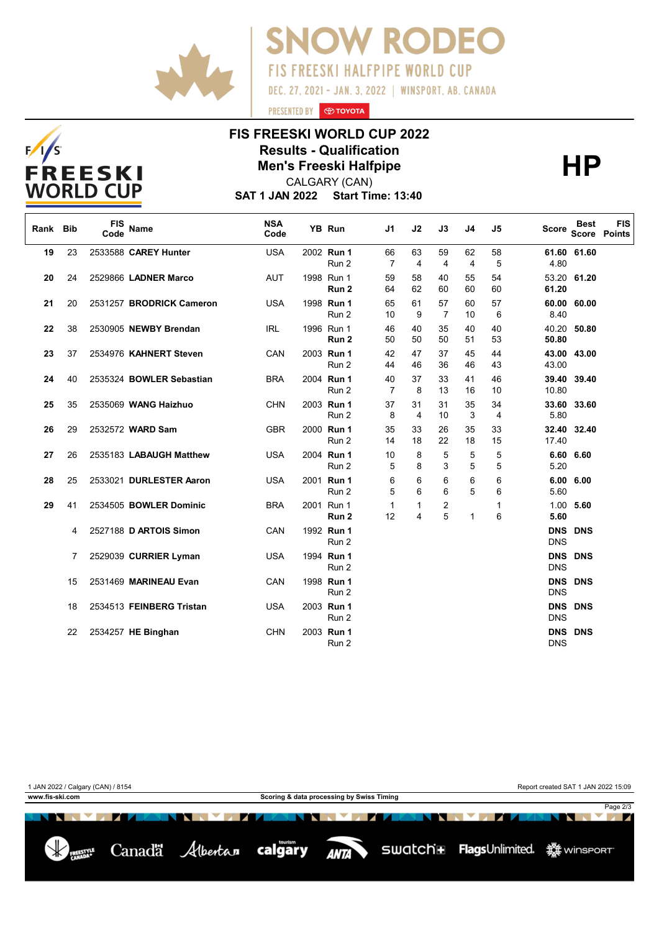



# **FIS FREESKI WORLD CUP 2022 Results - Qualification<br>
Men's Freeski Halfpipe<br>
CALGARY (CAN)**

PRESENTED BY **O TOYOTA** 

**SNOW RODEO** 

DEC. 27, 2021 - JAN. 3, 2022 | WINSPORT, AB. CANADA

FIS FREESKI HALFPIPE WORLD CUP

CALGARY (CAN)

**SAT 1 JAN 2022 Start Time: 13:40**

| Rank Bib |    | <b>FIS</b><br>Code | <b>Name</b>              | <b>NSA</b><br>Code | YB Run                         | J <sub>1</sub>       | J2                | J3                           | J4           | J <sub>5</sub> | Score                    | <b>Best</b>    | <b>FIS</b><br><b>Score Points</b> |
|----------|----|--------------------|--------------------------|--------------------|--------------------------------|----------------------|-------------------|------------------------------|--------------|----------------|--------------------------|----------------|-----------------------------------|
| 19       | 23 |                    | 2533588 CAREY Hunter     | <b>USA</b>         | 2002 Run 1<br>Run 2            | 66<br>7              | 63<br>4           | 59<br>4                      | 62<br>4      | 58<br>5        | 4.80                     | 61.60 61.60    |                                   |
| 20       | 24 |                    | 2529866 LADNER Marco     | <b>AUT</b>         | 1998 Run 1<br>Run <sub>2</sub> | 59<br>64             | 58<br>62          | 40<br>60                     | 55<br>60     | 54<br>60       | 61.20                    | 53.20 61.20    |                                   |
| 21       | 20 |                    | 2531257 BRODRICK Cameron | <b>USA</b>         | 1998 Run 1<br>Run 2            | 65<br>10             | 61<br>9           | 57<br>$\overline{7}$         | 60<br>10     | 57<br>6        | 60.00<br>8.40            | 60.00          |                                   |
| 22       | 38 |                    | 2530905 NEWBY Brendan    | IRL                | 1996 Run 1<br>Run <sub>2</sub> | 46<br>50             | 40<br>50          | 35<br>50                     | 40<br>51     | 40<br>53       | 50.80                    | 40.20 50.80    |                                   |
| 23       | 37 |                    | 2534976 KAHNERT Steven   | CAN                | 2003 Run 1<br>Run 2            | 42<br>44             | 47<br>46          | 37<br>36                     | 45<br>46     | 44<br>43       | 43.00                    | 43.00 43.00    |                                   |
| 24       | 40 |                    | 2535324 BOWLER Sebastian | <b>BRA</b>         | 2004 Run 1<br>Run 2            | 40<br>$\overline{7}$ | 37<br>8           | 33<br>13                     | 41<br>16     | 46<br>10       | 10.80                    | 39.40 39.40    |                                   |
| 25       | 35 |                    | 2535069 WANG Haizhuo     | <b>CHN</b>         | 2003 Run 1<br>Run 2            | 37<br>8              | 31<br>4           | 31<br>10                     | 35<br>3      | 34<br>4        | 33.60<br>5.80            | 33.60          |                                   |
| 26       | 29 |                    | 2532572 WARD Sam         | <b>GBR</b>         | 2000 Run 1<br>Run 2            | 35<br>14             | 33<br>18          | 26<br>22                     | 35<br>18     | 33<br>15       | 17.40                    | 32.40 32.40    |                                   |
| 27       | 26 |                    | 2535183 LABAUGH Matthew  | <b>USA</b>         | 2004 Run 1<br>Run 2            | 10<br>5              | 8<br>8            | 5<br>3                       | 5<br>5       | 5<br>5         | 5.20                     | 6.60 6.60      |                                   |
| 28       | 25 |                    | 2533021 DURLESTER Aaron  | <b>USA</b>         | 2001 Run 1<br>Run 2            | 6<br>5               | 6<br>6            | 6<br>6                       | 6<br>5       | 6<br>6         | 5.60                     | 6.00 6.00      |                                   |
| 29       | 41 |                    | 2534505 BOWLER Dominic   | <b>BRA</b>         | 2001 Run 1<br>Run 2            | 1<br>12              | $\mathbf{1}$<br>4 | $\overline{\mathbf{c}}$<br>5 | $\mathbf{1}$ | 1<br>6         | 5.60                     | $1.00$ 5.60    |                                   |
|          | 4  |                    | 2527188 D ARTOIS Simon   | CAN                | 1992 Run 1<br>Run 2            |                      |                   |                              |              |                | <b>DNS</b>               | <b>DNS DNS</b> |                                   |
|          | 7  |                    | 2529039 CURRIER Lyman    | <b>USA</b>         | 1994 Run 1<br>Run 2            |                      |                   |                              |              |                | <b>DNS</b><br><b>DNS</b> | <b>DNS</b>     |                                   |
|          | 15 |                    | 2531469 MARINEAU Evan    | CAN                | 1998 Run 1<br>Run 2            |                      |                   |                              |              |                | <b>DNS</b>               | <b>DNS DNS</b> |                                   |
|          | 18 |                    | 2534513 FEINBERG Tristan | <b>USA</b>         | 2003 Run 1<br>Run 2            |                      |                   |                              |              |                | <b>DNS</b>               | DNS DNS        |                                   |
|          | 22 |                    | 2534257 HE Binghan       | <b>CHN</b>         | 2003 Run 1<br>Run 2            |                      |                   |                              |              |                | <b>DNS</b><br><b>DNS</b> | <b>DNS</b>     |                                   |